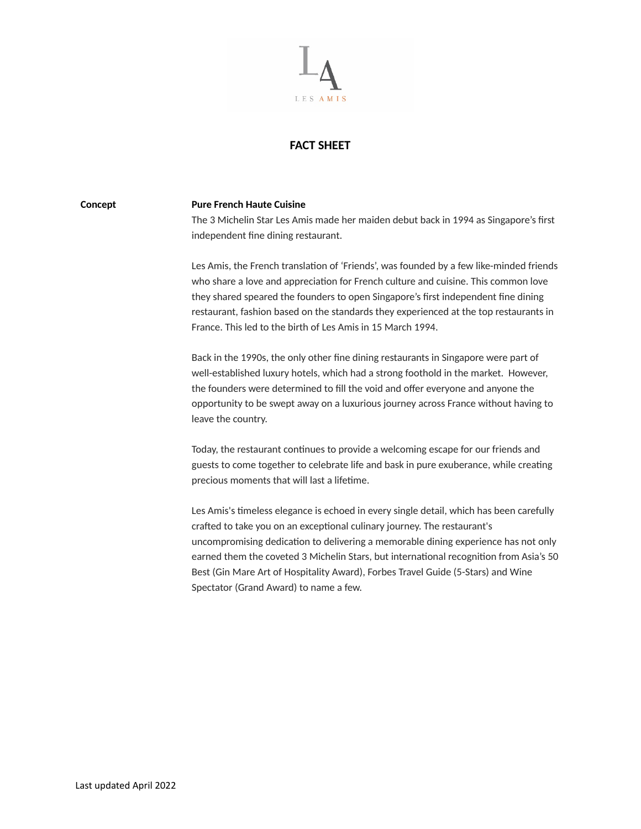

## **FACT SHEET**

## **Concept Pure French Haute Cuisine**

The 3 Michelin Star Les Amis made her maiden debut back in 1994 as Singapore's first independent fine dining restaurant.

Les Amis, the French translation of 'Friends', was founded by a few like-minded friends who share a love and appreciation for French culture and cuisine. This common love they shared speared the founders to open Singapore's first independent fine dining restaurant, fashion based on the standards they experienced at the top restaurants in France. This led to the birth of Les Amis in 15 March 1994.

Back in the 1990s, the only other fine dining restaurants in Singapore were part of well-established luxury hotels, which had a strong foothold in the market. However, the founders were determined to fill the void and offer everyone and anyone the opportunity to be swept away on a luxurious journey across France without having to leave the country.

Today, the restaurant continues to provide a welcoming escape for our friends and guests to come together to celebrate life and bask in pure exuberance, while creating precious moments that will last a lifetime.

Les Amis's timeless elegance is echoed in every single detail, which has been carefully crafted to take you on an exceptional culinary journey. The restaurant's uncompromising dedication to delivering a memorable dining experience has not only earned them the coveted 3 Michelin Stars, but international recognition from Asia's 50 Best (Gin Mare Art of Hospitality Award), Forbes Travel Guide (5-Stars) and Wine Spectator (Grand Award) to name a few.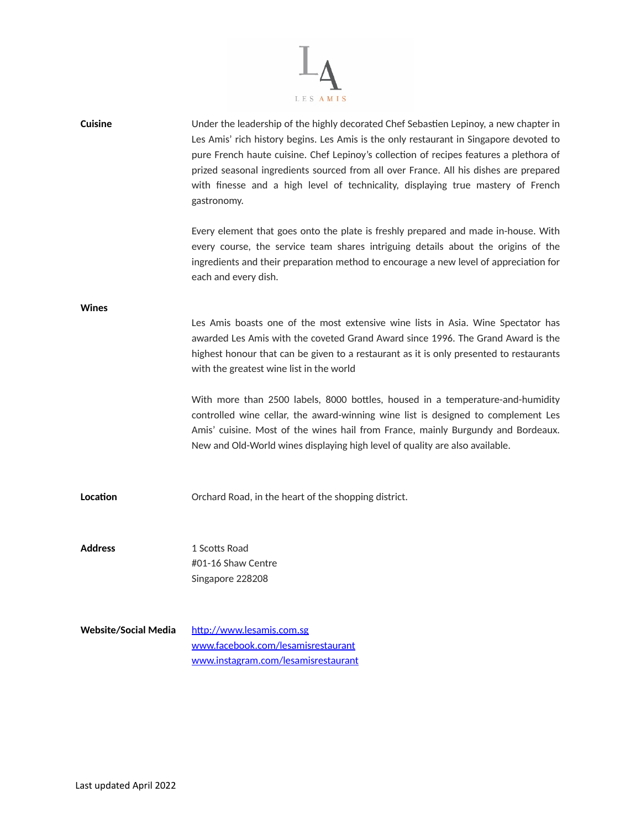

| <b>Cuisine</b>              | Under the leadership of the highly decorated Chef Sebastien Lepinoy, a new chapter in<br>Les Amis' rich history begins. Les Amis is the only restaurant in Singapore devoted to<br>pure French haute cuisine. Chef Lepinoy's collection of recipes features a plethora of<br>prized seasonal ingredients sourced from all over France. All his dishes are prepared<br>with finesse and a high level of technicality, displaying true mastery of French<br>gastronomy. |
|-----------------------------|-----------------------------------------------------------------------------------------------------------------------------------------------------------------------------------------------------------------------------------------------------------------------------------------------------------------------------------------------------------------------------------------------------------------------------------------------------------------------|
|                             | Every element that goes onto the plate is freshly prepared and made in-house. With<br>every course, the service team shares intriguing details about the origins of the<br>ingredients and their preparation method to encourage a new level of appreciation for<br>each and every dish.                                                                                                                                                                              |
| <b>Wines</b>                |                                                                                                                                                                                                                                                                                                                                                                                                                                                                       |
|                             | Les Amis boasts one of the most extensive wine lists in Asia. Wine Spectator has<br>awarded Les Amis with the coveted Grand Award since 1996. The Grand Award is the<br>highest honour that can be given to a restaurant as it is only presented to restaurants<br>with the greatest wine list in the world                                                                                                                                                           |
|                             | With more than 2500 labels, 8000 bottles, housed in a temperature-and-humidity<br>controlled wine cellar, the award-winning wine list is designed to complement Les<br>Amis' cuisine. Most of the wines hail from France, mainly Burgundy and Bordeaux.<br>New and Old-World wines displaying high level of quality are also available.                                                                                                                               |
| Location                    | Orchard Road, in the heart of the shopping district.                                                                                                                                                                                                                                                                                                                                                                                                                  |
| <b>Address</b>              | 1 Scotts Road                                                                                                                                                                                                                                                                                                                                                                                                                                                         |
|                             | #01-16 Shaw Centre                                                                                                                                                                                                                                                                                                                                                                                                                                                    |
|                             | Singapore 228208                                                                                                                                                                                                                                                                                                                                                                                                                                                      |
| <b>Website/Social Media</b> | http://www.lesamis.com.sg                                                                                                                                                                                                                                                                                                                                                                                                                                             |
|                             | www.facebook.com/lesamisrestaurant                                                                                                                                                                                                                                                                                                                                                                                                                                    |
|                             | www.instagram.com/lesamisrestaurant                                                                                                                                                                                                                                                                                                                                                                                                                                   |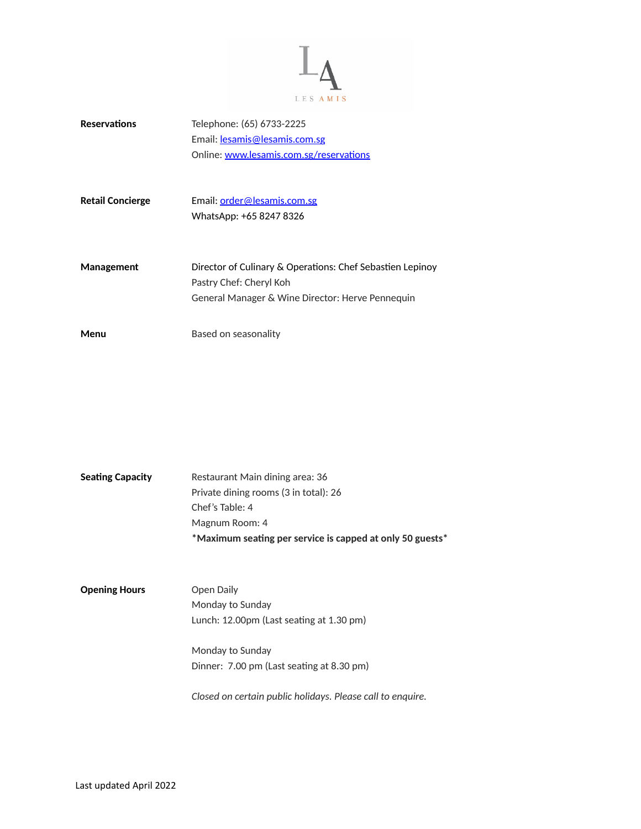

| <b>Reservations</b>     | Telephone: (65) 6733-2225<br>Email: lesamis@lesamis.com.sg<br>Online: www.lesamis.com.sg/reservations                                    |
|-------------------------|------------------------------------------------------------------------------------------------------------------------------------------|
| <b>Retail Concierge</b> | Email: order@lesamis.com.sg<br>WhatsApp: +65 8247 8326                                                                                   |
| Management              | Director of Culinary & Operations: Chef Sebastien Lepinoy<br>Pastry Chef: Cheryl Koh<br>General Manager & Wine Director: Herve Pennequin |
| Menu                    | Based on seasonality                                                                                                                     |

|                         | *Maximum seating per service is capped at only 50 guests* |
|-------------------------|-----------------------------------------------------------|
|                         | Magnum Room: 4                                            |
|                         | Chef's Table: 4                                           |
|                         | Private dining rooms (3 in total): 26                     |
| <b>Seating Capacity</b> | Restaurant Main dining area: 36                           |

| Open Daily                                         |
|----------------------------------------------------|
| Monday to Sunday                                   |
| Lunch: $12.00 \text{pm}$ (Last seating at 1.30 pm) |
|                                                    |
| Monday to Sunday                                   |
| Dinner: 7.00 pm (Last seating at 8.30 pm)          |
|                                                    |
|                                                    |

*Closed on certain public holidays. Please call to enquire.*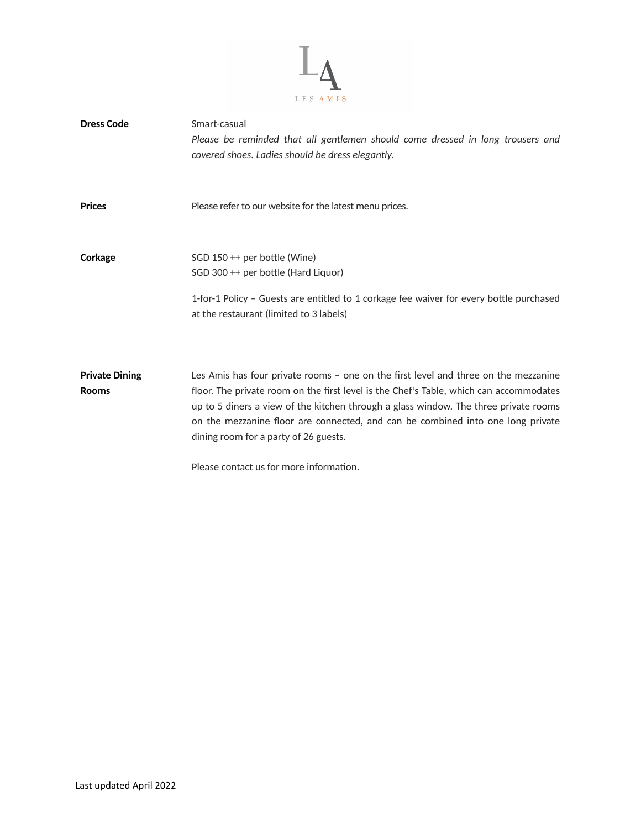

| <b>Dress Code</b>                     | Smart-casual<br>Please be reminded that all gentlemen should come dressed in long trousers and<br>covered shoes. Ladies should be dress elegantly.                                                                                                                                                                                                                                                                                           |
|---------------------------------------|----------------------------------------------------------------------------------------------------------------------------------------------------------------------------------------------------------------------------------------------------------------------------------------------------------------------------------------------------------------------------------------------------------------------------------------------|
| <b>Prices</b>                         | Please refer to our website for the latest menu prices.                                                                                                                                                                                                                                                                                                                                                                                      |
| Corkage                               | SGD 150 ++ per bottle (Wine)<br>SGD 300 ++ per bottle (Hard Liquor)<br>1-for-1 Policy - Guests are entitled to 1 corkage fee waiver for every bottle purchased<br>at the restaurant (limited to 3 labels)                                                                                                                                                                                                                                    |
| <b>Private Dining</b><br><b>Rooms</b> | Les Amis has four private rooms - one on the first level and three on the mezzanine<br>floor. The private room on the first level is the Chef's Table, which can accommodates<br>up to 5 diners a view of the kitchen through a glass window. The three private rooms<br>on the mezzanine floor are connected, and can be combined into one long private<br>dining room for a party of 26 guests.<br>Please contact us for more information. |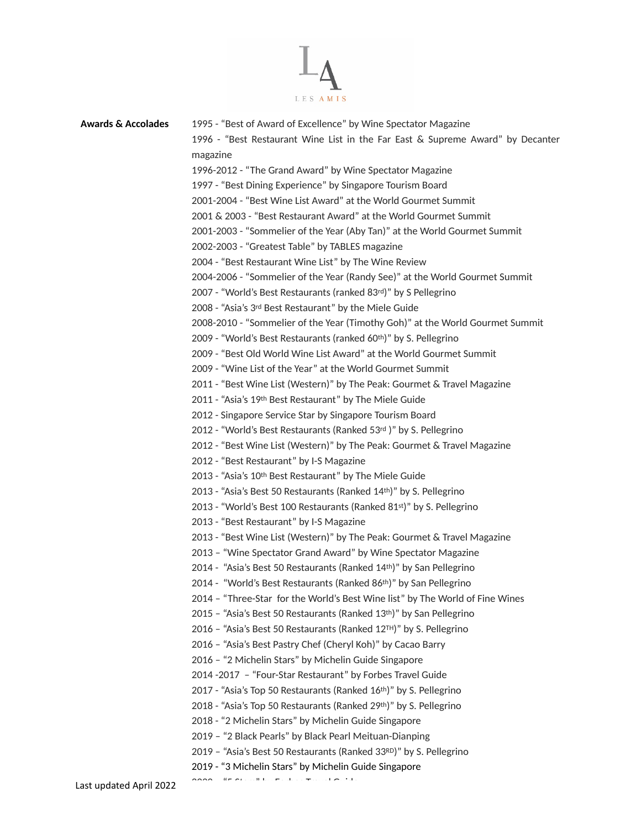

| <b>Awards &amp; Accolades</b> | 1995 - "Best of Award of Excellence" by Wine Spectator Magazine                |
|-------------------------------|--------------------------------------------------------------------------------|
|                               | 1996 - "Best Restaurant Wine List in the Far East & Supreme Award" by Decanter |
|                               | magazine                                                                       |
|                               | 1996-2012 - "The Grand Award" by Wine Spectator Magazine                       |
|                               | 1997 - "Best Dining Experience" by Singapore Tourism Board                     |
|                               | 2001-2004 - "Best Wine List Award" at the World Gourmet Summit                 |
|                               | 2001 & 2003 - "Best Restaurant Award" at the World Gourmet Summit              |
|                               | 2001-2003 - "Sommelier of the Year (Aby Tan)" at the World Gourmet Summit      |
|                               | 2002-2003 - "Greatest Table" by TABLES magazine                                |
|                               | 2004 - "Best Restaurant Wine List" by The Wine Review                          |
|                               | 2004-2006 - "Sommelier of the Year (Randy See)" at the World Gourmet Summit    |
|                               | 2007 - "World's Best Restaurants (ranked 83rd)" by S Pellegrino                |
|                               | 2008 - "Asia's 3rd Best Restaurant" by the Miele Guide                         |
|                               | 2008-2010 - "Sommelier of the Year (Timothy Goh)" at the World Gourmet Summit  |
|                               | 2009 - "World's Best Restaurants (ranked 60th)" by S. Pellegrino               |
|                               | 2009 - "Best Old World Wine List Award" at the World Gourmet Summit            |
|                               | 2009 - "Wine List of the Year" at the World Gourmet Summit                     |
|                               | 2011 - "Best Wine List (Western)" by The Peak: Gourmet & Travel Magazine       |
|                               | 2011 - "Asia's 19th Best Restaurant" by The Miele Guide                        |
|                               | 2012 - Singapore Service Star by Singapore Tourism Board                       |
|                               | 2012 - "World's Best Restaurants (Ranked 53rd)" by S. Pellegrino               |
|                               | 2012 - "Best Wine List (Western)" by The Peak: Gourmet & Travel Magazine       |
|                               | 2012 - "Best Restaurant" by I-S Magazine                                       |
|                               | 2013 - "Asia's 10th Best Restaurant" by The Miele Guide                        |
|                               | 2013 - "Asia's Best 50 Restaurants (Ranked 14th)" by S. Pellegrino             |
|                               | 2013 - "World's Best 100 Restaurants (Ranked 81st)" by S. Pellegrino           |
|                               | 2013 - "Best Restaurant" by I-S Magazine                                       |
|                               | 2013 - "Best Wine List (Western)" by The Peak: Gourmet & Travel Magazine       |
|                               | 2013 - "Wine Spectator Grand Award" by Wine Spectator Magazine                 |
|                               | 2014 - "Asia's Best 50 Restaurants (Ranked 14th)" by San Pellegrino            |
|                               | 2014 - "World's Best Restaurants (Ranked 86th)" by San Pellegrino              |
|                               | 2014 - "Three-Star for the World's Best Wine list" by The World of Fine Wines  |
|                               | 2015 - "Asia's Best 50 Restaurants (Ranked 13th)" by San Pellegrino            |
|                               | 2016 - "Asia's Best 50 Restaurants (Ranked 12TH)" by S. Pellegrino             |
|                               | 2016 - "Asia's Best Pastry Chef (Cheryl Koh)" by Cacao Barry                   |
|                               | 2016 - "2 Michelin Stars" by Michelin Guide Singapore                          |
|                               | 2014 - 2017 - "Four-Star Restaurant" by Forbes Travel Guide                    |
|                               | 2017 - "Asia's Top 50 Restaurants (Ranked 16th)" by S. Pellegrino              |
|                               | 2018 - "Asia's Top 50 Restaurants (Ranked 29th)" by S. Pellegrino              |
|                               | 2018 - "2 Michelin Stars" by Michelin Guide Singapore                          |
|                               | 2019 - "2 Black Pearls" by Black Pearl Meituan-Dianping                        |
|                               | 2019 - "Asia's Best 50 Restaurants (Ranked 33RD)" by S. Pellegrino             |
|                               | 2019 - "3 Michelin Stars" by Michelin Guide Singapore                          |
|                               |                                                                                |